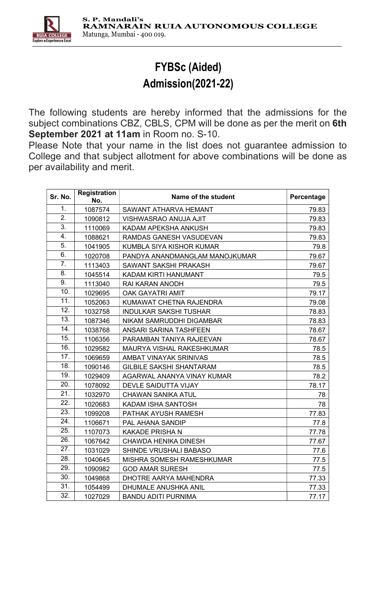

## FYBSc (Aided) Admission(2021-22)

The following students are hereby informed that the admissions for the subject combinations CBZ, CBLS, CPM will be done as per the merit on 6th September 2021 at 11am in Room no. S-10.

Please Note that your name in the list does not guarantee admission to College and that subject allotment for above combinations will be done as per availability and merit.

| Sr. No.          | <b>Registration</b><br>No. | Name of the student             | Percentage |
|------------------|----------------------------|---------------------------------|------------|
| 1.               | 1087574                    | <b>SAWANT ATHARVA HEMANT</b>    | 79.83      |
| $\overline{2}$ . | 1090812                    | VISHWASRAO ANUJA AJIT           | 79.83      |
| $\overline{3}$ . | 1110069                    | KADAM APEKSHA ANKUSH            | 79.83      |
| 4.               | 1088621                    | RAMDAS GANESH VASUDEVAN         | 79.83      |
| 5.               | 1041905                    | KUMBLA SIYA KISHOR KUMAR        | 79.8       |
| 6.               | 1020708                    | PANDYA ANANDMANGLAM MANOJKUMAR  | 79.67      |
| 7.               | 1113403                    | SAWANT SAKSHI PRAKASH           | 79.67      |
| 8.               | 1045514                    | KADAM KIRTI HANUMANT            | 79.5       |
| 9.               | 1113040                    | <b>RAI KARAN ANODH</b>          | 79.5       |
| 10.              | 1029695                    | <b>OAK GAYATRI AMIT</b>         | 79.17      |
| 11.              | 1052063                    | KUMAWAT CHETNA RAJENDRA         | 79.08      |
| 12.              | 1032758                    | <b>INDULKAR SAKSHI TUSHAR</b>   | 78.83      |
| 13.              | 1087346                    | NIKAM SAMRUDDHI DIGAMBAR        | 78.83      |
| 14.              | 1038768                    | ANSARI SARINA TASHFEEN          | 78.67      |
| 15.              | 1106356                    | PARAMBAN TANIYA RAJEEVAN        | 78.67      |
| 16.              | 1029582                    | MAURYA VISHAL RAKESHKUMAR       | 78.5       |
| 17.              | 1069659                    | AMBAT VINAYAK SRINIVAS          | 78.5       |
| 18.              | 1090146                    | <b>GILBILE SAKSHI SHANTARAM</b> | 78.5       |
| 19.              | 1029409                    | AGARWAL ANANYA VINAY KUMAR      | 78.2       |
| 20.              | 1078092                    | DEVLE SAIDUTTA VIJAY            | 78.17      |
| 21.              | 1032970                    | <b>CHAWAN SANIKA ATUL</b>       | 78         |
| 22.              | 1020683                    | KADAM ISHA SANTOSH              | 78         |
| 23.              | 1099208                    | PATHAK AYUSH RAMESH             | 77.83      |
| 24.              | 1106671                    | PAL AHANA SANDIP                | 77.8       |
| 25.              | 1107073                    | <b>KAKADE PRISHA N</b>          | 77.78      |
| 26.              | 1067642                    | <b>CHAWDA HENIKA DINESH</b>     | 77.67      |
| 27.              | 1031029                    | SHINDE VRUSHALI BABASO          | 77.6       |
| 28.              | 1040645                    | MISHRA SOMESH RAMESHKUMAR       | 77.5       |
| 29.              | 1090982                    | <b>GOD AMAR SURESH</b>          | 77.5       |
| 30.              | 1049868                    | DHOTRE AARYA MAHENDRA           | 77.33      |
| 31.              | 1054499                    | <b>DHUMALE ANUSHKA ANIL</b>     | 77.33      |
| 32.              | 1027029                    | <b>BANDU ADITI PURNIMA</b>      | 77.17      |